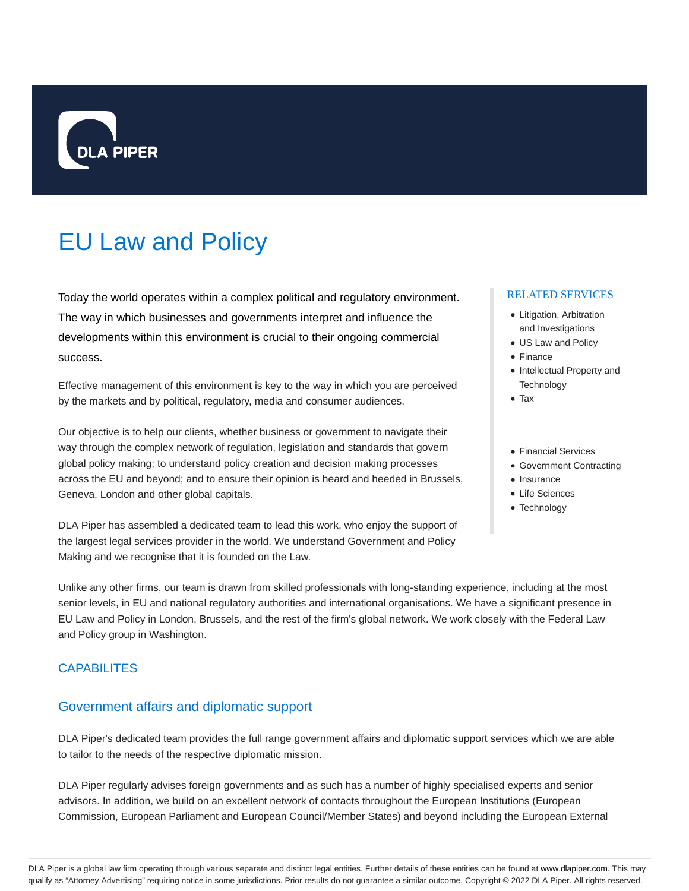

# EU Law and Policy

Today the world operates within a complex political and regulatory environment. The way in which businesses and governments interpret and influence the developments within this environment is crucial to their ongoing commercial success.

Effective management of this environment is key to the way in which you are perceived by the markets and by political, regulatory, media and consumer audiences.

Our objective is to help our clients, whether business or government to navigate their way through the complex network of regulation, legislation and standards that govern global policy making; to understand policy creation and decision making processes across the EU and beyond; and to ensure their opinion is heard and heeded in Brussels, Geneva, London and other global capitals.

DLA Piper has assembled a dedicated team to lead this work, who enjoy the support of the largest legal services provider in the world. We understand Government and Policy Making and we recognise that it is founded on the Law.

#### RELATED SERVICES

- Litigation, Arbitration and Investigations
- US Law and Policy
- Finance
- Intellectual Property and **Technology**
- Tax
- Financial Services
- Government Contracting
- Insurance
- Life Sciences
- Technology

Unlike any other firms, our team is drawn from skilled professionals with long-standing experience, including at the most senior levels, in EU and national regulatory authorities and international organisations. We have a significant presence in EU Law and Policy in London, Brussels, and the rest of the firm's global network. We work closely with the Federal Law and Policy group in Washington.

## **CAPABILITES**

## Government affairs and diplomatic support

DLA Piper's dedicated team provides the full range government affairs and diplomatic support services which we are able to tailor to the needs of the respective diplomatic mission.

DLA Piper regularly advises foreign governments and as such has a number of highly specialised experts and senior advisors. In addition, we build on an excellent network of contacts throughout the European Institutions (European Commission, European Parliament and European Council/Member States) and beyond including the European External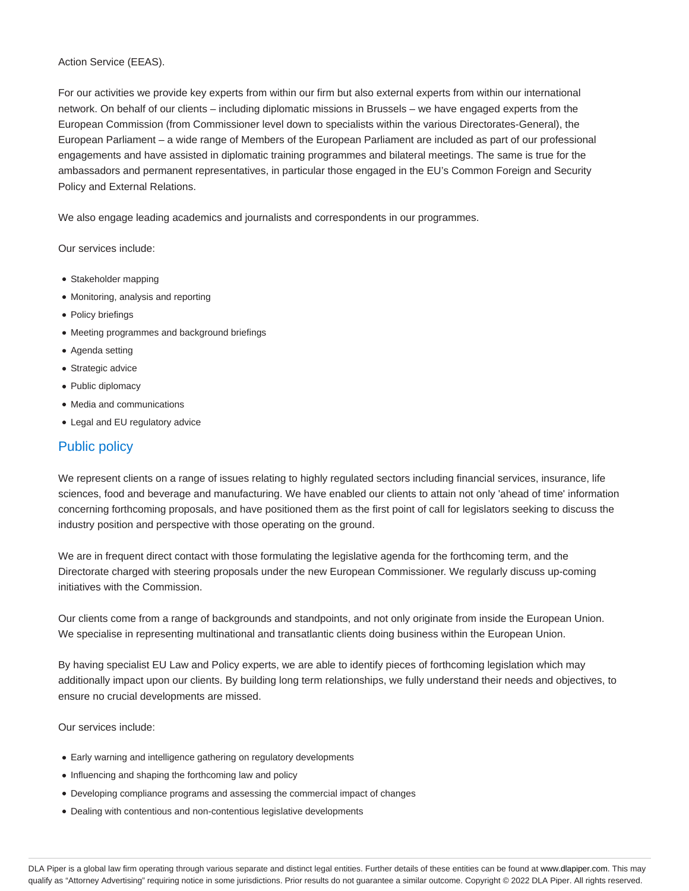#### Action Service (EEAS).

For our activities we provide key experts from within our firm but also external experts from within our international network. On behalf of our clients – including diplomatic missions in Brussels – we have engaged experts from the European Commission (from Commissioner level down to specialists within the various Directorates-General), the European Parliament – a wide range of Members of the European Parliament are included as part of our professional engagements and have assisted in diplomatic training programmes and bilateral meetings. The same is true for the ambassadors and permanent representatives, in particular those engaged in the EU's Common Foreign and Security Policy and External Relations.

We also engage leading academics and journalists and correspondents in our programmes.

Our services include:

- Stakeholder mapping
- Monitoring, analysis and reporting
- Policy briefings
- Meeting programmes and background briefings
- Agenda setting
- Strategic advice
- Public diplomacy
- Media and communications
- Legal and EU regulatory advice

# Public policy

We represent clients on a range of issues relating to highly regulated sectors including financial services, insurance, life sciences, food and beverage and manufacturing. We have enabled our clients to attain not only 'ahead of time' information concerning forthcoming proposals, and have positioned them as the first point of call for legislators seeking to discuss the industry position and perspective with those operating on the ground.

We are in frequent direct contact with those formulating the legislative agenda for the forthcoming term, and the Directorate charged with steering proposals under the new European Commissioner. We regularly discuss up-coming initiatives with the Commission.

Our clients come from a range of backgrounds and standpoints, and not only originate from inside the European Union. We specialise in representing multinational and transatlantic clients doing business within the European Union.

By having specialist EU Law and Policy experts, we are able to identify pieces of forthcoming legislation which may additionally impact upon our clients. By building long term relationships, we fully understand their needs and objectives, to ensure no crucial developments are missed.

Our services include:

- Early warning and intelligence gathering on regulatory developments
- Influencing and shaping the forthcoming law and policy
- Developing compliance programs and assessing the commercial impact of changes
- Dealing with contentious and non-contentious legislative developments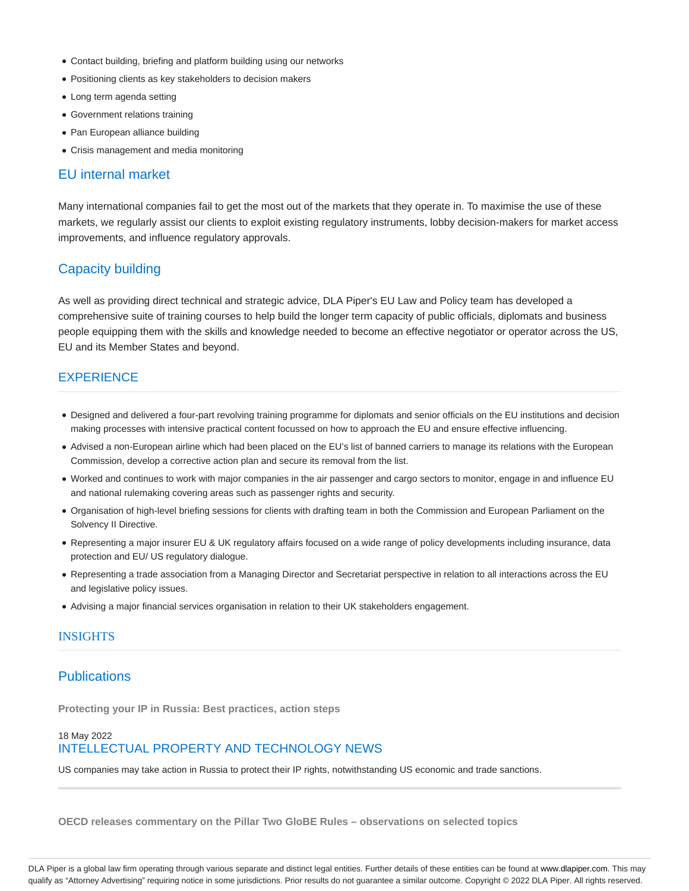- Contact building, briefing and platform building using our networks
- Positioning clients as key stakeholders to decision makers
- Long term agenda setting
- Government relations training
- Pan European alliance building
- Crisis management and media monitoring

## EU internal market

Many international companies fail to get the most out of the markets that they operate in. To maximise the use of these markets, we regularly assist our clients to exploit existing regulatory instruments, lobby decision-makers for market access improvements, and influence regulatory approvals.

## Capacity building

As well as providing direct technical and strategic advice, DLA Piper's EU Law and Policy team has developed a comprehensive suite of training courses to help build the longer term capacity of public officials, diplomats and business people equipping them with the skills and knowledge needed to become an effective negotiator or operator across the US, EU and its Member States and beyond.

## **EXPERIENCE**

- Designed and delivered a four-part revolving training programme for diplomats and senior officials on the EU institutions and decision making processes with intensive practical content focussed on how to approach the EU and ensure effective influencing.
- Advised a non-European airline which had been placed on the EU's list of banned carriers to manage its relations with the European Commission, develop a corrective action plan and secure its removal from the list.
- Worked and continues to work with major companies in the air passenger and cargo sectors to monitor, engage in and influence EU and national rulemaking covering areas such as passenger rights and security.
- Organisation of high-level briefing sessions for clients with drafting team in both the Commission and European Parliament on the Solvency II Directive.
- Representing a major insurer EU & UK regulatory affairs focused on a wide range of policy developments including insurance, data protection and EU/ US regulatory dialogue.
- Representing a trade association from a Managing Director and Secretariat perspective in relation to all interactions across the EU and legislative policy issues.
- Advising a major financial services organisation in relation to their UK stakeholders engagement.

#### **INSIGHTS**

## **Publications**

**Protecting your IP in Russia: Best practices, action steps**

## 18 May 2022 INTELLECTUAL PROPERTY AND TECHNOLOGY NEWS

US companies may take action in Russia to protect their IP rights, notwithstanding US economic and trade sanctions.

**OECD releases commentary on the Pillar Two GloBE Rules – observations on selected topics**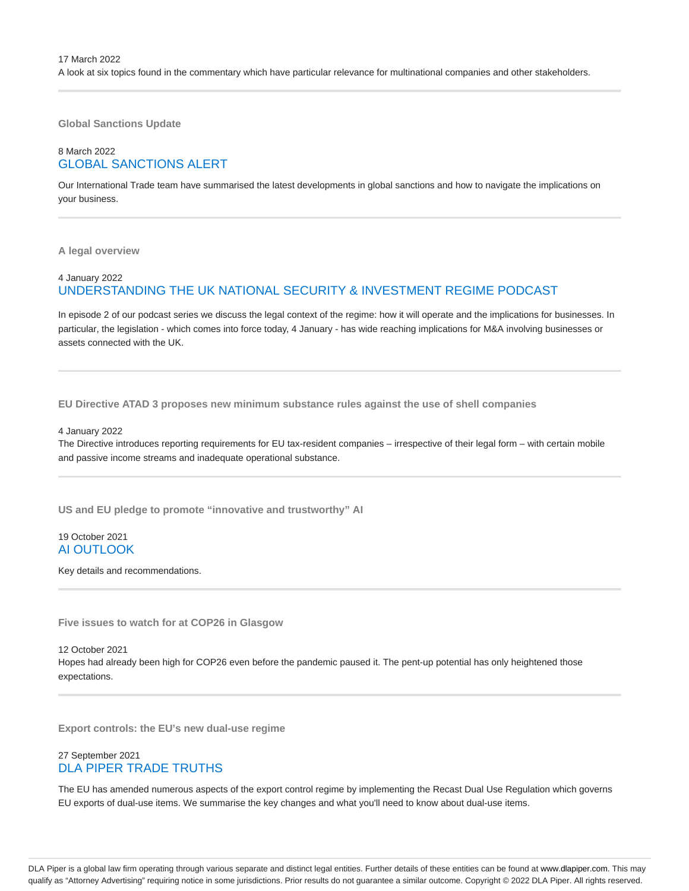**Global Sanctions Update**

## 8 March 2022 GLOBAL SANCTIONS ALERT

Our International Trade team have summarised the latest developments in global sanctions and how to navigate the implications on your business.

**A legal overview**

#### 4 January 2022 UNDERSTANDING THE UK NATIONAL SECURITY & INVESTMENT REGIME PODCAST

In episode 2 of our podcast series we discuss the legal context of the regime: how it will operate and the implications for businesses. In particular, the legislation - which comes into force today, 4 January - has wide reaching implications for M&A involving businesses or assets connected with the UK.

**EU Directive ATAD 3 proposes new minimum substance rules against the use of shell companies**

4 January 2022

The Directive introduces reporting requirements for EU tax-resident companies – irrespective of their legal form – with certain mobile and passive income streams and inadequate operational substance.

**US and EU pledge to promote "innovative and trustworthy" AI**

19 October 2021 AI OUTLOOK

Key details and recommendations.

**Five issues to watch for at COP26 in Glasgow**

12 October 2021

Hopes had already been high for COP26 even before the pandemic paused it. The pent-up potential has only heightened those expectations.

**Export controls: the EU's new dual-use regime**

#### 27 September 2021 DLA PIPER TRADE TRUTHS

The EU has amended numerous aspects of the export control regime by implementing the Recast Dual Use Regulation which governs EU exports of dual-use items. We summarise the key changes and what you'll need to know about dual-use items.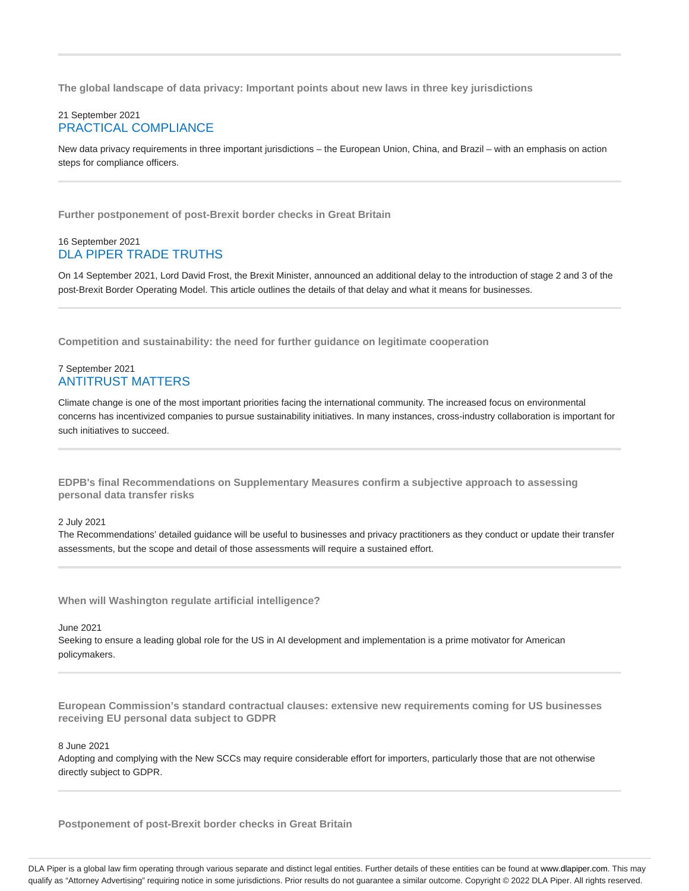**The global landscape of data privacy: Important points about new laws in three key jurisdictions**

#### 21 September 2021 PRACTICAL COMPLIANCE

New data privacy requirements in three important jurisdictions – the European Union, China, and Brazil – with an emphasis on action steps for compliance officers.

**Further postponement of post-Brexit border checks in Great Britain**

#### 16 September 2021 DLA PIPER TRADE TRUTHS

On 14 September 2021, Lord David Frost, the Brexit Minister, announced an additional delay to the introduction of stage 2 and 3 of the post-Brexit Border Operating Model. This article outlines the details of that delay and what it means for businesses.

**Competition and sustainability: the need for further guidance on legitimate cooperation**

#### 7 September 2021 ANTITRUST MATTERS

Climate change is one of the most important priorities facing the international community. The increased focus on environmental concerns has incentivized companies to pursue sustainability initiatives. In many instances, cross-industry collaboration is important for such initiatives to succeed.

**EDPB's final Recommendations on Supplementary Measures confirm a subjective approach to assessing personal data transfer risks**

2 July 2021

The Recommendations' detailed guidance will be useful to businesses and privacy practitioners as they conduct or update their transfer assessments, but the scope and detail of those assessments will require a sustained effort.

**When will Washington regulate artificial intelligence?**

June 2021

Seeking to ensure a leading global role for the US in AI development and implementation is a prime motivator for American policymakers.

**European Commission's standard contractual clauses: extensive new requirements coming for US businesses receiving EU personal data subject to GDPR**

8 June 2021

Adopting and complying with the New SCCs may require considerable effort for importers, particularly those that are not otherwise directly subject to GDPR.

**Postponement of post-Brexit border checks in Great Britain**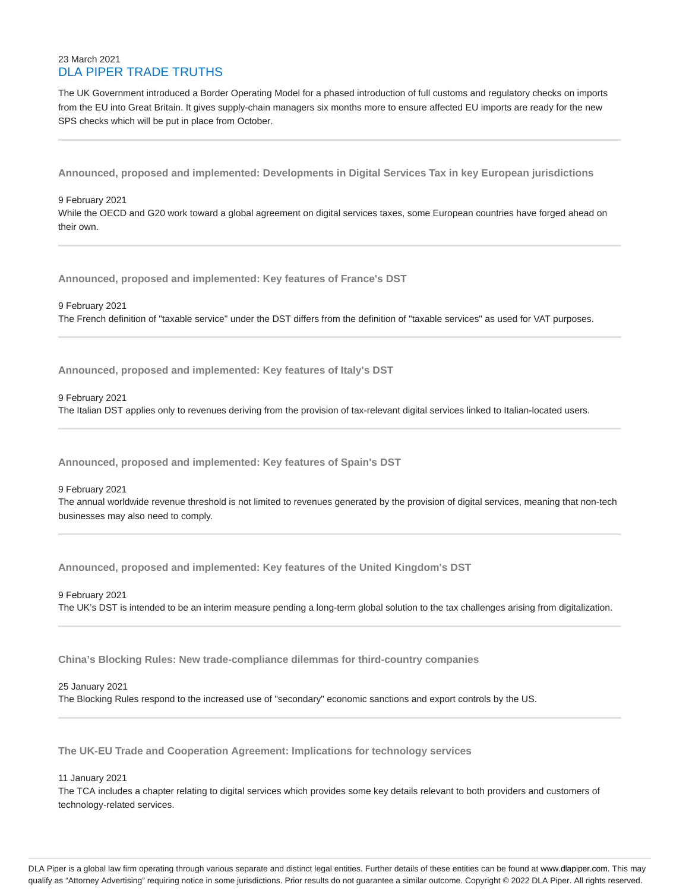#### 23 March 2021 DLA PIPER TRADE TRUTHS

The UK Government introduced a Border Operating Model for a phased introduction of full customs and regulatory checks on imports from the EU into Great Britain. It gives supply-chain managers six months more to ensure affected EU imports are ready for the new SPS checks which will be put in place from October.

**Announced, proposed and implemented: Developments in Digital Services Tax in key European jurisdictions**

9 February 2021 While the OECD and G20 work toward a global agreement on digital services taxes, some European countries have forged ahead on their own.

**Announced, proposed and implemented: Key features of France's DST**

9 February 2021 The French definition of "taxable service" under the DST differs from the definition of "taxable services" as used for VAT purposes.

**Announced, proposed and implemented: Key features of Italy's DST**

9 February 2021

The Italian DST applies only to revenues deriving from the provision of tax-relevant digital services linked to Italian-located users.

**Announced, proposed and implemented: Key features of Spain's DST**

9 February 2021 The annual worldwide revenue threshold is not limited to revenues generated by the provision of digital services, meaning that non-tech businesses may also need to comply.

**Announced, proposed and implemented: Key features of the United Kingdom's DST**

9 February 2021 The UK's DST is intended to be an interim measure pending a long-term global solution to the tax challenges arising from digitalization.

**China's Blocking Rules: New trade-compliance dilemmas for third-country companies**

25 January 2021

The Blocking Rules respond to the increased use of "secondary" economic sanctions and export controls by the US.

**The UK-EU Trade and Cooperation Agreement: Implications for technology services**

11 January 2021

The TCA includes a chapter relating to digital services which provides some key details relevant to both providers and customers of technology-related services.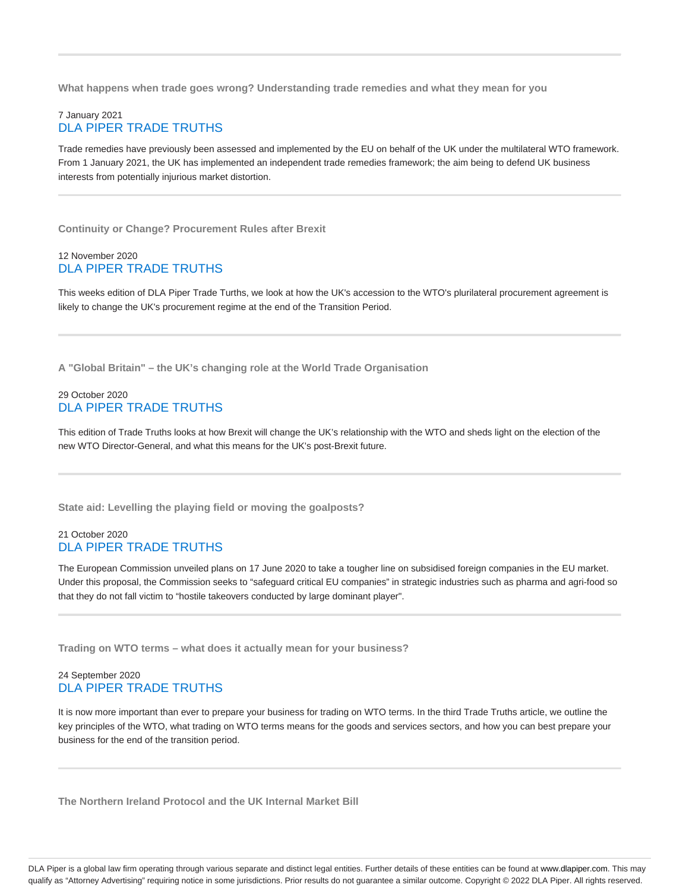**What happens when trade goes wrong? Understanding trade remedies and what they mean for you**

#### 7 January 2021 DLA PIPER TRADE TRUTHS

Trade remedies have previously been assessed and implemented by the EU on behalf of the UK under the multilateral WTO framework. From 1 January 2021, the UK has implemented an independent trade remedies framework; the aim being to defend UK business interests from potentially injurious market distortion.

**Continuity or Change? Procurement Rules after Brexit**

#### 12 November 2020 DLA PIPER TRADE TRUTHS

This weeks edition of DLA Piper Trade Turths, we look at how the UK's accession to the WTO's plurilateral procurement agreement is likely to change the UK's procurement regime at the end of the Transition Period.

**A "Global Britain" – the UK's changing role at the World Trade Organisation**

#### 29 October 2020 DLA PIPER TRADE TRUTHS

This edition of Trade Truths looks at how Brexit will change the UK's relationship with the WTO and sheds light on the election of the new WTO Director-General, and what this means for the UK's post-Brexit future.

**State aid: Levelling the playing field or moving the goalposts?**

#### 21 October 2020 DLA PIPER TRADE TRUTHS

The European Commission unveiled plans on 17 June 2020 to take a tougher line on subsidised foreign companies in the EU market. Under this proposal, the Commission seeks to "safeguard critical EU companies" in strategic industries such as pharma and agri-food so that they do not fall victim to "hostile takeovers conducted by large dominant player".

**Trading on WTO terms – what does it actually mean for your business?**

#### 24 September 2020 DLA PIPER TRADE TRUTHS

It is now more important than ever to prepare your business for trading on WTO terms. In the third Trade Truths article, we outline the key principles of the WTO, what trading on WTO terms means for the goods and services sectors, and how you can best prepare your business for the end of the transition period.

**The Northern Ireland Protocol and the UK Internal Market Bill**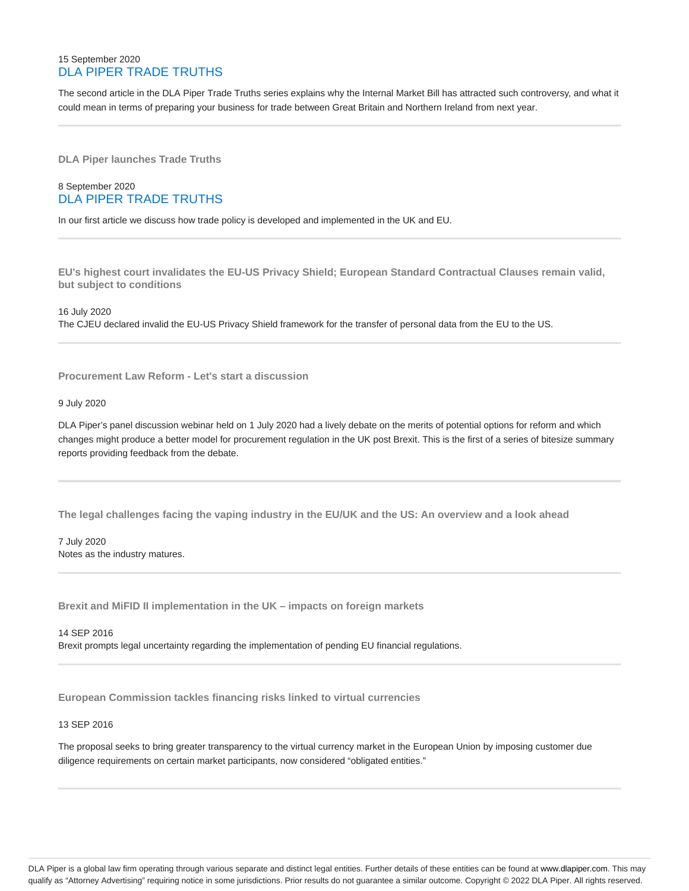#### 15 September 2020 DLA PIPER TRADE TRUTHS

The second article in the DLA Piper Trade Truths series explains why the Internal Market Bill has attracted such controversy, and what it could mean in terms of preparing your business for trade between Great Britain and Northern Ireland from next year.

**DLA Piper launches Trade Truths**

#### 8 September 2020 DLA PIPER TRADE TRUTHS

In our first article we discuss how trade policy is developed and implemented in the UK and EU.

**EU's highest court invalidates the EU-US Privacy Shield; European Standard Contractual Clauses remain valid, but subject to conditions**

16 July 2020 The CJEU declared invalid the EU-US Privacy Shield framework for the transfer of personal data from the EU to the US.

**Procurement Law Reform - Let's start a discussion**

#### 9 July 2020

DLA Piper's panel discussion webinar held on 1 July 2020 had a lively debate on the merits of potential options for reform and which changes might produce a better model for procurement regulation in the UK post Brexit. This is the first of a series of bitesize summary reports providing feedback from the debate.

**The legal challenges facing the vaping industry in the EU/UK and the US: An overview and a look ahead**

7 July 2020 Notes as the industry matures.

**Brexit and MiFID II implementation in the UK – impacts on foreign markets**

14 SEP 2016 Brexit prompts legal uncertainty regarding the implementation of pending EU financial regulations.

**European Commission tackles financing risks linked to virtual currencies**

#### 13 SEP 2016

The proposal seeks to bring greater transparency to the virtual currency market in the European Union by imposing customer due diligence requirements on certain market participants, now considered "obligated entities."